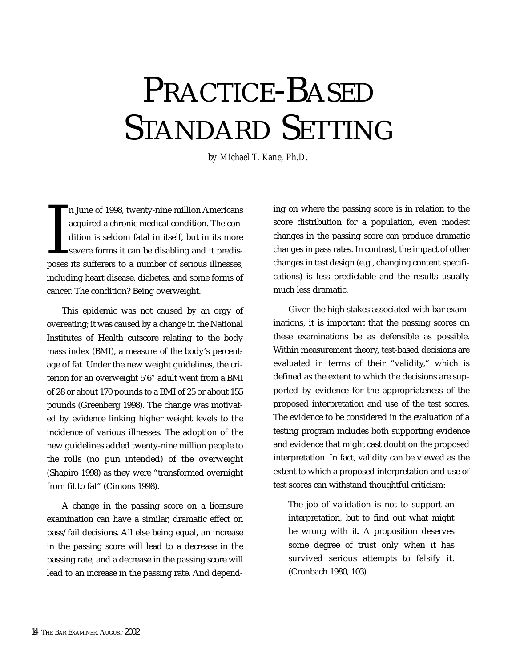# PRACTICE-BASED STANDARD SETTING

*by Michael T. Kane, Ph.D.*

n June of 1998, twenty-nine million Americans<br>acquired a chronic medical condition. The con-<br>dition is seldom fatal in itself, but in its more<br>severe forms it can be disabling and it predis-<br>poses its sufferers to a number n June of 1998, twenty-nine million Americans acquired a chronic medical condition. The condition is seldom fatal in itself, but in its more severe forms it can be disabling and it predisincluding heart disease, diabetes, and some forms of cancer. The condition? Being overweight.

This epidemic was not caused by an orgy of overeating; it was caused by a change in the National Institutes of Health cutscore relating to the body mass index (BMI), a measure of the body's percentage of fat. Under the new weight guidelines, the criterion for an overweight 5'6" adult went from a BMI of 28 or about 170 pounds to a BMI of 25 or about 155 pounds (Greenberg 1998). The change was motivated by evidence linking higher weight levels to the incidence of various illnesses. The adoption of the new guidelines added twenty-nine million people to the rolls (no pun intended) of the overweight (Shapiro 1998) as they were "transformed overnight from fit to fat" (Cimons 1998).

A change in the passing score on a licensure examination can have a similar, dramatic effect on pass/fail decisions. All else being equal, an increase in the passing score will lead to a decrease in the passing rate, and a decrease in the passing score will lead to an increase in the passing rate. And depending on where the passing score is in relation to the score distribution for a population, even modest changes in the passing score can produce dramatic changes in pass rates. In contrast, the impact of other changes in test design (e.g., changing content specifications) is less predictable and the results usually much less dramatic.

Given the high stakes associated with bar examinations, it is important that the passing scores on these examinations be as defensible as possible. Within measurement theory, test-based decisions are evaluated in terms of their "validity," which is defined as the extent to which the decisions are supported by evidence for the appropriateness of the proposed interpretation and use of the test scores. The evidence to be considered in the evaluation of a testing program includes both supporting evidence and evidence that might cast doubt on the proposed interpretation. In fact, validity can be viewed as the extent to which a proposed interpretation and use of test scores can withstand thoughtful criticism:

The job of validation is not to support an interpretation, but to find out what might be wrong with it. A proposition deserves some degree of trust only when it has survived serious attempts to falsify it. (Cronbach 1980, 103)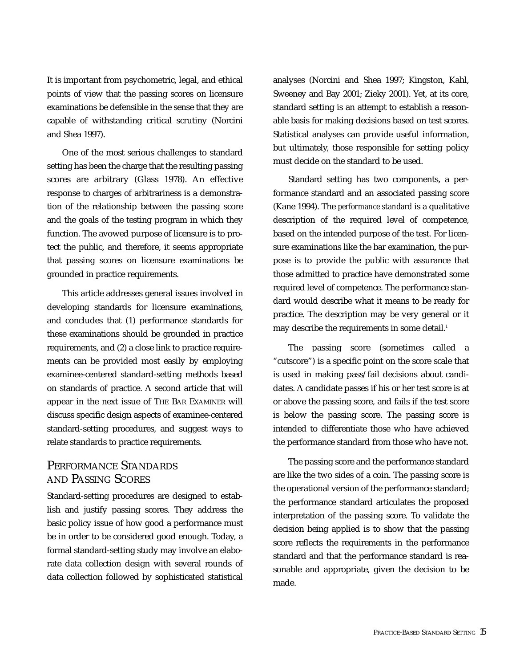It is important from psychometric, legal, and ethical points of view that the passing scores on licensure examinations be defensible in the sense that they are capable of withstanding critical scrutiny (Norcini and Shea 1997).

One of the most serious challenges to standard setting has been the charge that the resulting passing scores are arbitrary (Glass 1978). An effective response to charges of arbitrariness is a demonstration of the relationship between the passing score and the goals of the testing program in which they function. The avowed purpose of licensure is to protect the public, and therefore, it seems appropriate that passing scores on licensure examinations be grounded in practice requirements.

This article addresses general issues involved in developing standards for licensure examinations, and concludes that (1) performance standards for these examinations should be grounded in practice requirements, and (2) a close link to practice requirements can be provided most easily by employing examinee-centered standard-setting methods based on standards of practice. A second article that will appear in the next issue of THE BAR EXAMINER will discuss specific design aspects of examinee-centered standard-setting procedures, and suggest ways to relate standards to practice requirements.

#### PERFORMANCE STANDARDS AND PASSING SCORES

Standard-setting procedures are designed to establish and justify passing scores. They address the basic policy issue of how good a performance must be in order to be considered good enough. Today, a formal standard-setting study may involve an elaborate data collection design with several rounds of data collection followed by sophisticated statistical analyses (Norcini and Shea 1997; Kingston, Kahl, Sweeney and Bay 2001; Zieky 2001). Yet, at its core, standard setting is an attempt to establish a reasonable basis for making decisions based on test scores. Statistical analyses can provide useful information, but ultimately, those responsible for setting policy must decide on the standard to be used.

Standard setting has two components, a performance standard and an associated passing score (Kane 1994). The *performance standard* is a qualitative description of the required level of competence, based on the intended purpose of the test. For licensure examinations like the bar examination, the purpose is to provide the public with assurance that those admitted to practice have demonstrated some required level of competence. The performance standard would describe what it means to be ready for practice. The description may be very general or it may describe the requirements in some detail.<sup>1</sup>

The passing score (sometimes called a "cutscore") is a specific point on the score scale that is used in making pass/fail decisions about candidates. A candidate passes if his or her test score is at or above the passing score, and fails if the test score is below the passing score. The passing score is intended to differentiate those who have achieved the performance standard from those who have not.

The passing score and the performance standard are like the two sides of a coin. The passing score is the operational version of the performance standard; the performance standard articulates the proposed interpretation of the passing score. To validate the decision being applied is to show that the passing score reflects the requirements in the performance standard and that the performance standard is reasonable and appropriate, given the decision to be made.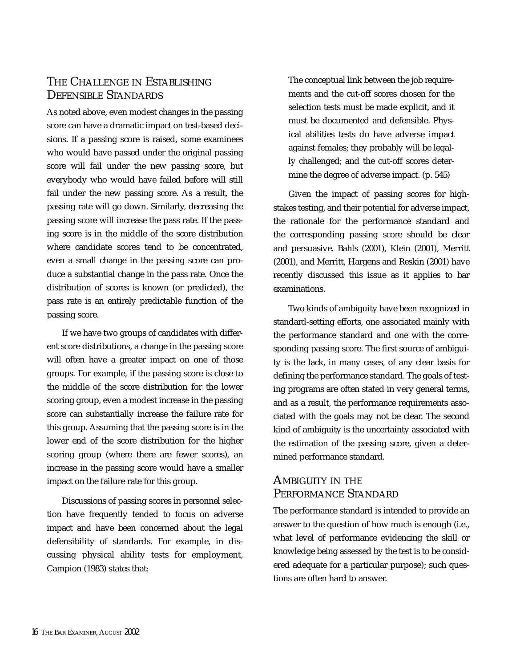## THE CHALLENGE IN ESTABLISHING DEFENSIBLE STANDARDS

As noted above, even modest changes in the passing score can have a dramatic impact on test-based decisions. If a passing score is raised, some examinees who would have passed under the original passing score will fail under the new passing score, but everybody who would have failed before will still fail under the new passing score. As a result, the passing rate will go down. Similarly, decreasing the passing score will increase the pass rate. If the passing score is in the middle of the score distribution where candidate scores tend to be concentrated, even a small change in the passing score can produce a substantial change in the pass rate. Once the distribution of scores is known (or predicted), the pass rate is an entirely predictable function of the passing score.

If we have two groups of candidates with different score distributions, a change in the passing score will often have a greater impact on one of those groups. For example, if the passing score is close to the middle of the score distribution for the lower scoring group, even a modest increase in the passing score can substantially increase the failure rate for this group. Assuming that the passing score is in the lower end of the score distribution for the higher scoring group (where there are fewer scores), an increase in the passing score would have a smaller impact on the failure rate for this group.

Discussions of passing scores in personnel selection have frequently tended to focus on adverse impact and have been concerned about the legal defensibility of standards. For example, in discussing physical ability tests for employment, Campion (1983) states that:

The conceptual link between the job requirements and the cut-off scores chosen for the selection tests must be made explicit, and it must be documented and defensible. Physical abilities tests do have adverse impact against females; they probably will be legally challenged; and the cut-off scores determine the degree of adverse impact. (p. 545)

Given the impact of passing scores for highstakes testing, and their potential for adverse impact, the rationale for the performance standard and the corresponding passing score should be clear and persuasive. Bahls (2001), Klein (2001), Merritt (2001), and Merritt, Hargens and Reskin (2001) have recently discussed this issue as it applies to bar examinations.

Two kinds of ambiguity have been recognized in standard-setting efforts, one associated mainly with the performance standard and one with the corresponding passing score. The first source of ambiguity is the lack, in many cases, of any clear basis for defining the performance standard. The goals of testing programs are often stated in very general terms, and as a result, the performance requirements associated with the goals may not be clear. The second kind of ambiguity is the uncertainty associated with the estimation of the passing score, given a determined performance standard.

#### AMBIGUITY IN THE PERFORMANCE STANDARD

The performance standard is intended to provide an answer to the question of how much is enough (i.e., what level of performance evidencing the skill or knowledge being assessed by the test is to be considered adequate for a particular purpose); such questions are often hard to answer.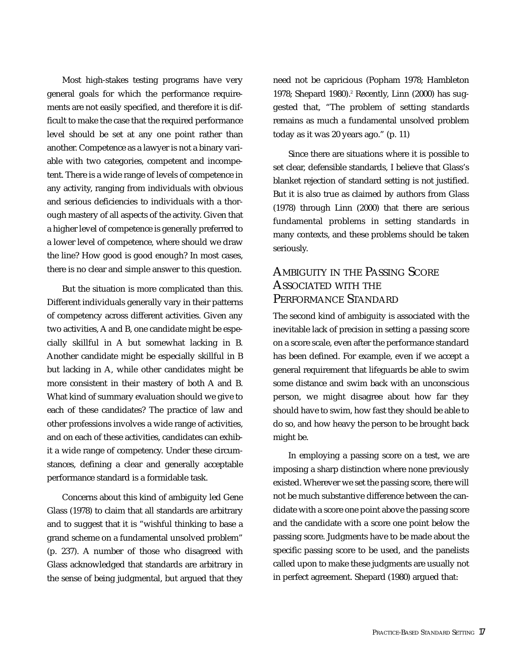Most high-stakes testing programs have very general goals for which the performance requirements are not easily specified, and therefore it is difficult to make the case that the required performance level should be set at any one point rather than another. Competence as a lawyer is not a binary variable with two categories, competent and incompetent. There is a wide range of levels of competence in any activity, ranging from individuals with obvious and serious deficiencies to individuals with a thorough mastery of all aspects of the activity. Given that a higher level of competence is generally preferred to a lower level of competence, where should we draw the line? How good is good enough? In most cases, there is no clear and simple answer to this question.

But the situation is more complicated than this. Different individuals generally vary in their patterns of competency across different activities. Given any two activities, A and B, one candidate might be especially skillful in A but somewhat lacking in B. Another candidate might be especially skillful in B but lacking in A, while other candidates might be more consistent in their mastery of both A and B. What kind of summary evaluation should we give to each of these candidates? The practice of law and other professions involves a wide range of activities, and on each of these activities, candidates can exhibit a wide range of competency. Under these circumstances, defining a clear and generally acceptable performance standard is a formidable task.

Concerns about this kind of ambiguity led Gene Glass (1978) to claim that all standards are arbitrary and to suggest that it is "wishful thinking to base a grand scheme on a fundamental unsolved problem" (p. 237). A number of those who disagreed with Glass acknowledged that standards are arbitrary in the sense of being judgmental, but argued that they need not be capricious (Popham 1978; Hambleton 1978; Shepard 1980).<sup>2</sup> Recently, Linn (2000) has suggested that, "The problem of setting standards remains as much a fundamental unsolved problem today as it was 20 years ago." (p. 11)

Since there are situations where it is possible to set clear, defensible standards, I believe that Glass's blanket rejection of standard setting is not justified. But it is also true as claimed by authors from Glass (1978) through Linn (2000) that there are serious fundamental problems in setting standards in many contexts, and these problems should be taken seriously.

## AMBIGUITY IN THE PASSING SCORE ASSOCIATED WITH THE PERFORMANCE STANDARD

The second kind of ambiguity is associated with the inevitable lack of precision in setting a passing score on a score scale, even after the performance standard has been defined. For example, even if we accept a general requirement that lifeguards be able to swim some distance and swim back with an unconscious person, we might disagree about how far they should have to swim, how fast they should be able to do so, and how heavy the person to be brought back might be.

In employing a passing score on a test, we are imposing a sharp distinction where none previously existed. Wherever we set the passing score, there will not be much substantive difference between the candidate with a score one point above the passing score and the candidate with a score one point below the passing score. Judgments have to be made about the specific passing score to be used, and the panelists called upon to make these judgments are usually not in perfect agreement. Shepard (1980) argued that: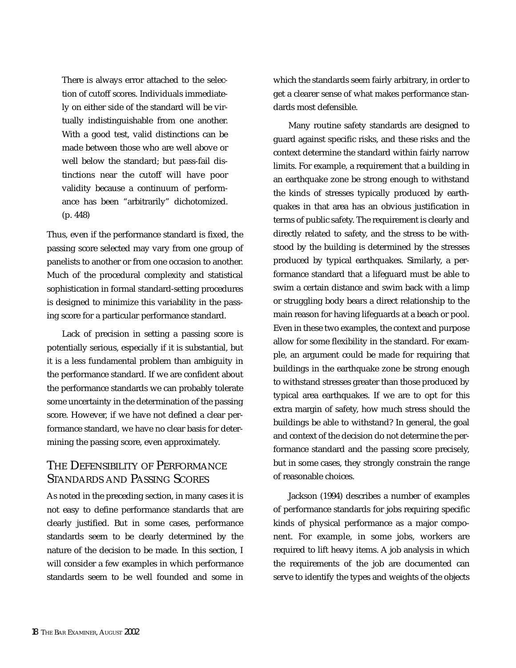There is always error attached to the selection of cutoff scores. Individuals immediately on either side of the standard will be virtually indistinguishable from one another. With a good test, valid distinctions can be made between those who are well above or well below the standard; but pass-fail distinctions near the cutoff will have poor validity because a continuum of performance has been "arbitrarily" dichotomized. (p. 448)

Thus, even if the performance standard is fixed, the passing score selected may vary from one group of panelists to another or from one occasion to another. Much of the procedural complexity and statistical sophistication in formal standard-setting procedures is designed to minimize this variability in the passing score for a particular performance standard.

Lack of precision in setting a passing score is potentially serious, especially if it is substantial, but it is a less fundamental problem than ambiguity in the performance standard. If we are confident about the performance standards we can probably tolerate some uncertainty in the determination of the passing score. However, if we have not defined a clear performance standard, we have no clear basis for determining the passing score, even approximately.

#### THE DEFENSIBILITY OF PERFORMANCE STANDARDS AND PASSING SCORES

As noted in the preceding section, in many cases it is not easy to define performance standards that are clearly justified. But in some cases, performance standards seem to be clearly determined by the nature of the decision to be made. In this section, I will consider a few examples in which performance standards seem to be well founded and some in which the standards seem fairly arbitrary, in order to get a clearer sense of what makes performance standards most defensible.

Many routine safety standards are designed to guard against specific risks, and these risks and the context determine the standard within fairly narrow limits. For example, a requirement that a building in an earthquake zone be strong enough to withstand the kinds of stresses typically produced by earthquakes in that area has an obvious justification in terms of public safety. The requirement is clearly and directly related to safety, and the stress to be withstood by the building is determined by the stresses produced by typical earthquakes. Similarly, a performance standard that a lifeguard must be able to swim a certain distance and swim back with a limp or struggling body bears a direct relationship to the main reason for having lifeguards at a beach or pool. Even in these two examples, the context and purpose allow for some flexibility in the standard. For example, an argument could be made for requiring that buildings in the earthquake zone be strong enough to withstand stresses greater than those produced by typical area earthquakes. If we are to opt for this extra margin of safety, how much stress should the buildings be able to withstand? In general, the goal and context of the decision do not determine the performance standard and the passing score precisely, but in some cases, they strongly constrain the range of reasonable choices.

Jackson (1994) describes a number of examples of performance standards for jobs requiring specific kinds of physical performance as a major component. For example, in some jobs, workers are required to lift heavy items. A job analysis in which the requirements of the job are documented can serve to identify the types and weights of the objects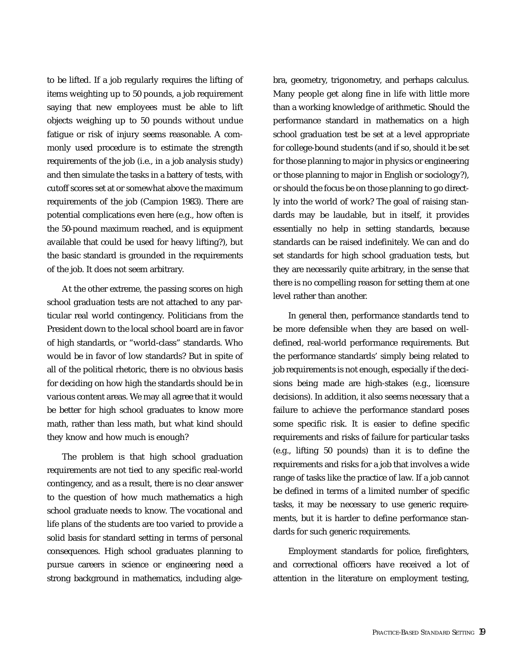to be lifted. If a job regularly requires the lifting of items weighting up to 50 pounds, a job requirement saying that new employees must be able to lift objects weighing up to 50 pounds without undue fatigue or risk of injury seems reasonable. A commonly used procedure is to estimate the strength requirements of the job (i.e., in a job analysis study) and then simulate the tasks in a battery of tests, with cutoff scores set at or somewhat above the maximum requirements of the job (Campion 1983). There are potential complications even here (e.g., how often is the 50-pound maximum reached, and is equipment available that could be used for heavy lifting?), but the basic standard is grounded in the requirements of the job. It does not seem arbitrary.

At the other extreme, the passing scores on high school graduation tests are not attached to any particular real world contingency. Politicians from the President down to the local school board are in favor of high standards, or "world-class" standards. Who would be in favor of low standards? But in spite of all of the political rhetoric, there is no obvious basis for deciding on how high the standards should be in various content areas. We may all agree that it would be better for high school graduates to know more math, rather than less math, but what kind should they know and how much is enough?

The problem is that high school graduation requirements are not tied to any specific real-world contingency, and as a result, there is no clear answer to the question of how much mathematics a high school graduate needs to know. The vocational and life plans of the students are too varied to provide a solid basis for standard setting in terms of personal consequences. High school graduates planning to pursue careers in science or engineering need a strong background in mathematics, including algebra, geometry, trigonometry, and perhaps calculus. Many people get along fine in life with little more than a working knowledge of arithmetic. Should the performance standard in mathematics on a high school graduation test be set at a level appropriate for college-bound students (and if so, should it be set for those planning to major in physics or engineering or those planning to major in English or sociology?), or should the focus be on those planning to go directly into the world of work? The goal of raising standards may be laudable, but in itself, it provides essentially no help in setting standards, because standards can be raised indefinitely. We can and do set standards for high school graduation tests, but they are necessarily quite arbitrary, in the sense that there is no compelling reason for setting them at one level rather than another.

In general then, performance standards tend to be more defensible when they are based on welldefined, real-world performance requirements. But the performance standards' simply being related to job requirements is not enough, especially if the decisions being made are high-stakes (e.g., licensure decisions). In addition, it also seems necessary that a failure to achieve the performance standard poses some specific risk. It is easier to define specific requirements and risks of failure for particular tasks (e.g., lifting 50 pounds) than it is to define the requirements and risks for a job that involves a wide range of tasks like the practice of law. If a job cannot be defined in terms of a limited number of specific tasks, it may be necessary to use generic requirements, but it is harder to define performance standards for such generic requirements.

Employment standards for police, firefighters, and correctional officers have received a lot of attention in the literature on employment testing,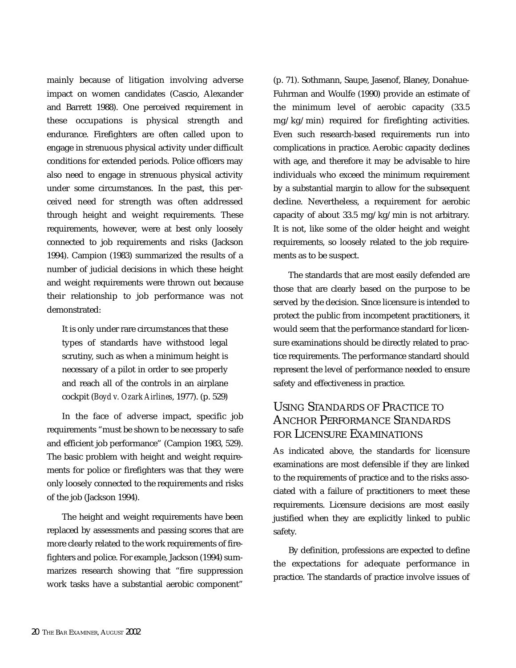mainly because of litigation involving adverse impact on women candidates (Cascio, Alexander and Barrett 1988). One perceived requirement in these occupations is physical strength and endurance. Firefighters are often called upon to engage in strenuous physical activity under difficult conditions for extended periods. Police officers may also need to engage in strenuous physical activity under some circumstances. In the past, this perceived need for strength was often addressed through height and weight requirements. These requirements, however, were at best only loosely connected to job requirements and risks (Jackson 1994). Campion (1983) summarized the results of a number of judicial decisions in which these height and weight requirements were thrown out because their relationship to job performance was not demonstrated:

It is only under rare circumstances that these types of standards have withstood legal scrutiny, such as when a minimum height is necessary of a pilot in order to see properly and reach all of the controls in an airplane cockpit (*Boyd v. Ozark Airlines*, 1977). (p. 529)

In the face of adverse impact, specific job requirements "must be shown to be necessary to safe and efficient job performance" (Campion 1983, 529). The basic problem with height and weight requirements for police or firefighters was that they were only loosely connected to the requirements and risks of the job (Jackson 1994).

The height and weight requirements have been replaced by assessments and passing scores that are more clearly related to the work requirements of firefighters and police. For example, Jackson (1994) summarizes research showing that "fire suppression work tasks have a substantial aerobic component"

(p. 71). Sothmann, Saupe, Jasenof, Blaney, Donahue-Fuhrman and Woulfe (1990) provide an estimate of the minimum level of aerobic capacity (33.5 mg/kg/min) required for firefighting activities. Even such research-based requirements run into complications in practice. Aerobic capacity declines with age, and therefore it may be advisable to hire individuals who exceed the minimum requirement by a substantial margin to allow for the subsequent decline. Nevertheless, a requirement for aerobic capacity of about 33.5 mg/kg/min is not arbitrary. It is not, like some of the older height and weight requirements, so loosely related to the job requirements as to be suspect.

The standards that are most easily defended are those that are clearly based on the purpose to be served by the decision. Since licensure is intended to protect the public from incompetent practitioners, it would seem that the performance standard for licensure examinations should be directly related to practice requirements. The performance standard should represent the level of performance needed to ensure safety and effectiveness in practice.

## USING STANDARDS OF PRACTICE TO ANCHOR PERFORMANCE STANDARDS FOR LICENSURE EXAMINATIONS

As indicated above, the standards for licensure examinations are most defensible if they are linked to the requirements of practice and to the risks associated with a failure of practitioners to meet these requirements. Licensure decisions are most easily justified when they are explicitly linked to public safety.

By definition, professions are expected to define the expectations for adequate performance in practice. The standards of practice involve issues of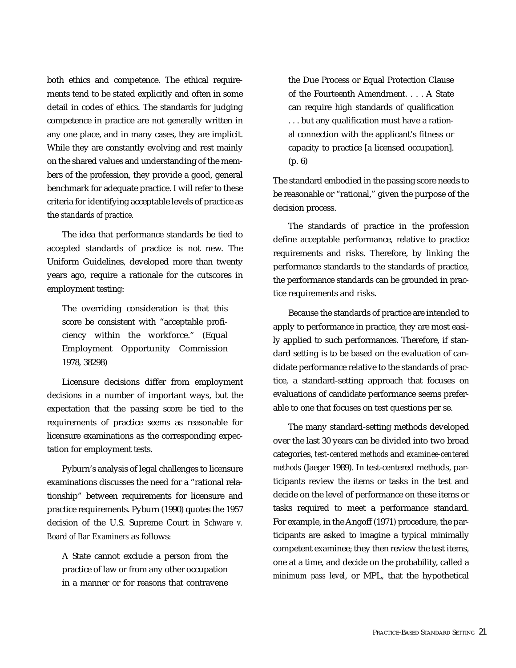both ethics and competence. The ethical requirements tend to be stated explicitly and often in some detail in codes of ethics. The standards for judging competence in practice are not generally written in any one place, and in many cases, they are implicit. While they are constantly evolving and rest mainly on the shared values and understanding of the members of the profession, they provide a good, general benchmark for adequate practice. I will refer to these criteria for identifying acceptable levels of practice as the *standards of practice*.

The idea that performance standards be tied to accepted standards of practice is not new. The Uniform Guidelines, developed more than twenty years ago, require a rationale for the cutscores in employment testing:

The overriding consideration is that this score be consistent with "acceptable proficiency within the workforce." (Equal Employment Opportunity Commission 1978, 38298)

Licensure decisions differ from employment decisions in a number of important ways, but the expectation that the passing score be tied to the requirements of practice seems as reasonable for licensure examinations as the corresponding expectation for employment tests.

Pyburn's analysis of legal challenges to licensure examinations discusses the need for a "rational relationship" between requirements for licensure and practice requirements. Pyburn (1990) quotes the 1957 decision of the U.S. Supreme Court in *Schware v. Board of Bar Examiners* as follows:

A State cannot exclude a person from the practice of law or from any other occupation in a manner or for reasons that contravene

the Due Process or Equal Protection Clause of the Fourteenth Amendment. . . . A State can require high standards of qualification . . . but any qualification must have a rational connection with the applicant's fitness or capacity to practice [a licensed occupation]. (p. 6)

The standard embodied in the passing score needs to be reasonable or "rational," given the purpose of the decision process.

The standards of practice in the profession define acceptable performance, relative to practice requirements and risks. Therefore, by linking the performance standards to the standards of practice, the performance standards can be grounded in practice requirements and risks.

Because the standards of practice are intended to apply to performance in practice, they are most easily applied to such performances. Therefore, if standard setting is to be based on the evaluation of candidate performance relative to the standards of practice, a standard-setting approach that focuses on evaluations of candidate performance seems preferable to one that focuses on test questions per se.

The many standard-setting methods developed over the last 30 years can be divided into two broad categories, *test-centered methods* and *examinee-centered methods* (Jaeger 1989). In test-centered methods, participants review the items or tasks in the test and decide on the level of performance on these items or tasks required to meet a performance standard. For example, in the Angoff (1971) procedure, the participants are asked to imagine a typical minimally competent examinee; they then review the test items, one at a time, and decide on the probability, called a *minimum pass level*, or MPL, that the hypothetical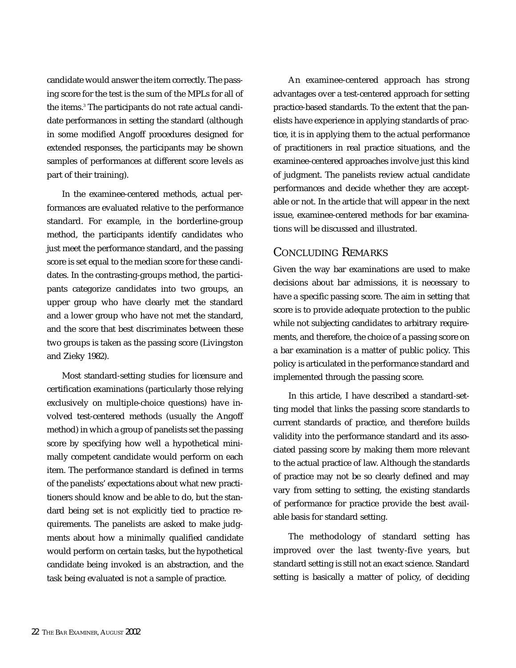candidate would answer the item correctly. The passing score for the test is the sum of the MPLs for all of the items.<sup>3</sup> The participants do not rate actual candidate performances in setting the standard (although in some modified Angoff procedures designed for extended responses, the participants may be shown samples of performances at different score levels as part of their training).

In the examinee-centered methods, actual performances are evaluated relative to the performance standard. For example, in the borderline-group method, the participants identify candidates who just meet the performance standard, and the passing score is set equal to the median score for these candidates. In the contrasting-groups method, the participants categorize candidates into two groups, an upper group who have clearly met the standard and a lower group who have not met the standard, and the score that best discriminates between these two groups is taken as the passing score (Livingston and Zieky 1982).

Most standard-setting studies for licensure and certification examinations (particularly those relying exclusively on multiple-choice questions) have involved test-centered methods (usually the Angoff method) in which a group of panelists set the passing score by specifying how well a hypothetical minimally competent candidate would perform on each item. The performance standard is defined in terms of the panelists' expectations about what new practitioners should know and be able to do, but the standard being set is not explicitly tied to practice requirements. The panelists are asked to make judgments about how a minimally qualified candidate would perform on certain tasks, but the hypothetical candidate being invoked is an abstraction, and the task being evaluated is not a sample of practice.

An examinee-centered approach has strong advantages over a test-centered approach for setting practice-based standards. To the extent that the panelists have experience in applying standards of practice, it is in applying them to the actual performance of practitioners in real practice situations, and the examinee-centered approaches involve just this kind of judgment. The panelists review actual candidate performances and decide whether they are acceptable or not. In the article that will appear in the next issue, examinee-centered methods for bar examinations will be discussed and illustrated.

#### CONCLUDING REMARKS

Given the way bar examinations are used to make decisions about bar admissions, it is necessary to have a specific passing score. The aim in setting that score is to provide adequate protection to the public while not subjecting candidates to arbitrary requirements, and therefore, the choice of a passing score on a bar examination is a matter of public policy. This policy is articulated in the performance standard and implemented through the passing score.

In this article, I have described a standard-setting model that links the passing score standards to current standards of practice, and therefore builds validity into the performance standard and its associated passing score by making them more relevant to the actual practice of law. Although the standards of practice may not be so clearly defined and may vary from setting to setting, the existing standards of performance for practice provide the best available basis for standard setting.

The methodology of standard setting has improved over the last twenty-five years, but standard setting is still not an exact science. Standard setting is basically a matter of policy, of deciding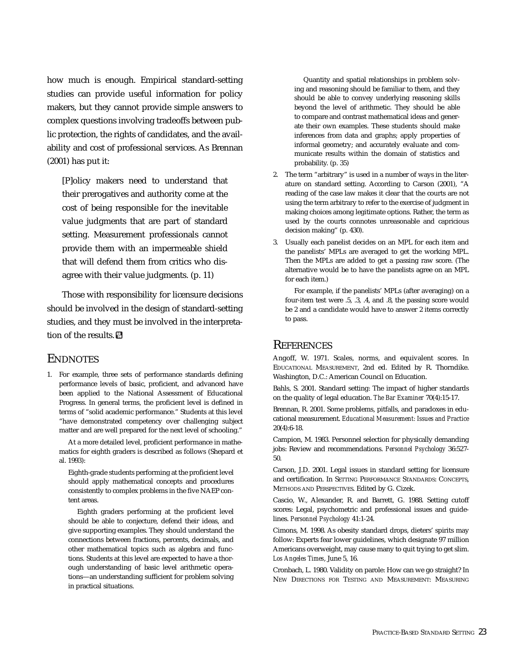how much is enough. Empirical standard-setting studies can provide useful information for policy makers, but they cannot provide simple answers to complex questions involving tradeoffs between public protection, the rights of candidates, and the availability and cost of professional services. As Brennan (2001) has put it:

[P]olicy makers need to understand that their prerogatives and authority come at the cost of being responsible for the inevitable value judgments that are part of standard setting. Measurement professionals cannot provide them with an impermeable shield that will defend them from critics who disagree with their value judgments. (p. 11)

Those with responsibility for licensure decisions should be involved in the design of standard-setting studies, and they must be involved in the interpretation of the results.

#### **ENDNOTES**

1. For example, three sets of performance standards defining performance levels of basic, proficient, and advanced have been applied to the National Assessment of Educational Progress. In general terms, the proficient level is defined in terms of "solid academic performance." Students at this level "have demonstrated competency over challenging subject matter and are well prepared for the next level of schooling."

At a more detailed level, proficient performance in mathematics for eighth graders is described as follows (Shepard et al. 1993):

Eighth-grade students performing at the proficient level should apply mathematical concepts and procedures consistently to complex problems in the five NAEP content areas.

Eighth graders performing at the proficient level should be able to conjecture, defend their ideas, and give supporting examples. They should understand the connections between fractions, percents, decimals, and other mathematical topics such as algebra and functions. Students at this level are expected to have a thorough understanding of basic level arithmetic operations—an understanding sufficient for problem solving in practical situations.

Quantity and spatial relationships in problem solving and reasoning should be familiar to them, and they should be able to convey underlying reasoning skills beyond the level of arithmetic. They should be able to compare and contrast mathematical ideas and generate their own examples. These students should make inferences from data and graphs; apply properties of informal geometry; and accurately evaluate and communicate results within the domain of statistics and probability. (p. 35)

- 2. The term "arbitrary" is used in a number of ways in the literature on standard setting. According to Carson (2001), "A reading of the case law makes it clear that the courts are not using the term arbitrary to refer to the exercise of judgment in making choices among legitimate options. Rather, the term as used by the courts connotes unreasonable and capricious decision making" (p. 430).
- 3. Usually each panelist decides on an MPL for each item and the panelists' MPLs are averaged to get the working MPL. Then the MPLs are added to get a passing raw score. (The alternative would be to have the panelists agree on an MPL for each item.)

For example, if the panelists' MPLs (after averaging) on a four-item test were .5, .3, .4, and .8, the passing score would be 2 and a candidate would have to answer 2 items correctly to pass.

#### **REFERENCES**

Angoff, W. 1971. Scales, norms, and equivalent scores. In EDUCATIONAL MEASUREMENT, 2nd ed. Edited by R. Thorndike. Washington, D.C.: American Council on Education.

Bahls, S. 2001. Standard setting: The impact of higher standards on the quality of legal education. *The Bar Examiner* 70(4):15-17.

Brennan, R. 2001. Some problems, pitfalls, and paradoxes in educational measurement. *Educational Measurement: Issues and Practice* 20(4):6-18.

Campion, M. 1983. Personnel selection for physically demanding jobs: Review and recommendations. *Personnel Psychology* 36:527- 50.

Carson, J.D. 2001. Legal issues in standard setting for licensure and certification. In SETTING PERFORMANCE STANDARDS: CONCEPTS, METHODS AND PERSPECTIVES. Edited by G. Cizek.

Cascio, W., Alexander, R. and Barrett, G. 1988. Setting cutoff scores: Legal, psychometric and professional issues and guidelines. *Personnel Psychology* 41:1-24.

Cimons, M. 1998. As obesity standard drops, dieters' spirits may follow: Experts fear lower guidelines, which designate 97 million Americans overweight, may cause many to quit trying to get slim. *Los Angeles Times*, June 5, 16.

Cronbach, L. 1980. Validity on parole: How can we go straight? In NEW DIRECTIONS FOR TESTING AND MEASUREMENT: MEASURING